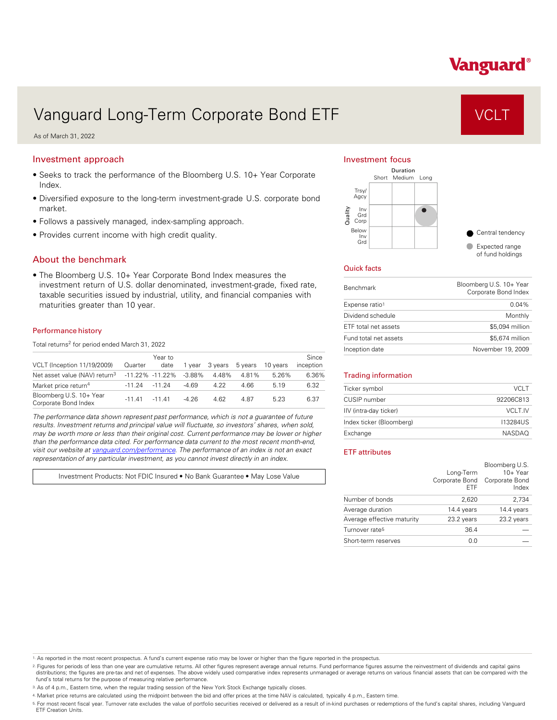# Vanguard®

# Vanguard Long-Term Corporate Bond ETF VCLT

As of March 31, 2022

### Investment approach

- Seeks to track the performance of the Bloomberg U.S. 10+ Year Corporate Index.
- Diversified exposure to the long-term investment-grade U.S. corporate bond market.
- Follows a passively managed, index-sampling approach.
- Provides current income with high credit quality.

### About the benchmark

• The Bloomberg U.S. 10+ Year Corporate Bond Index measures the investment return of U.S. dollar denominated, investment-grade, fixed rate, taxable securities issued by industrial, utility, and financial companies with maturities greater than 10 year.

#### Performance history

Total returns<sup>2</sup> for period ended March 31, 2022

| VCLT (Inception 11/19/2009)                     | Quarter  | Year to<br>date     | 1 vear    | 3 vears | 5 years | 10 years | Since<br>inception |
|-------------------------------------------------|----------|---------------------|-----------|---------|---------|----------|--------------------|
| Net asset value (NAV) return <sup>3</sup>       |          | $-11.22\% -11.22\%$ | $-3.88\%$ | 4.48%   | 4 81%   | 5.26%    | 6.36%              |
| Market price return <sup>4</sup>                | $-11.24$ | -11 24              | $-4.69$   | 4.22    | 4.66    | 5 1 9    | 6.32               |
| Bloomberg U.S. 10+ Year<br>Corporate Bond Index | $-11.41$ | $-1141$             | $-4.26$   | 4.62    | 4.87    | 5.23     | 6.37               |

*The performance data shown represent past performance, which is not a guarantee of future results. Investment returns and principal value will fluctuate, so investors' shares, when sold, may be worth more or less than their original cost. Current performance may be lower or higher than the performance data cited. For performance data current to the most recent month-end, visit our website at [vanguard.com/performance .](http://www.vanguard.com/performance) The performance of an index is not an exact representation of any particular investment, as you cannot invest directly in an index.* 

Investment Products: Not FDIC Insured • No Bank Guarantee • May Lose Value

#### Investment focus



#### Quick facts

| <b>Benchmark</b>      | Bloomberg U.S. 10+ Year<br>Corporate Bond Index |
|-----------------------|-------------------------------------------------|
| Expense ratio1        | $0.04\%$                                        |
| Dividend schedule     | Monthly                                         |
| ETF total net assets  | \$5,094 million                                 |
| Fund total net assets | \$5,674 million                                 |
| Inception date        | November 19, 2009                               |

#### Trading information

| Ticker symbol            | VCLT           |
|--------------------------|----------------|
| CUSIP number             | 92206C813      |
| IIV (intra-day ticker)   | <b>VCLT.IV</b> |
| Index ticker (Bloomberg) | 113284US       |
| Exchange                 | <b>NASDAO</b>  |

#### ETF attributes

|                            | Long-Term<br><b>FTF</b> | Bloomberg U.S.<br>$10+$ Year<br>Corporate Bond Corporate Bond<br>Index |
|----------------------------|-------------------------|------------------------------------------------------------------------|
| Number of bonds            | 2,620                   | 2,734                                                                  |
| Average duration           | 14.4 years              | 14.4 years                                                             |
| Average effective maturity | 23.2 years              | 23.2 years                                                             |
| Turnover rate <sup>5</sup> | 36.4                    |                                                                        |
| Short-term reserves        | 0.0                     |                                                                        |

1. As reported in the most recent prospectus. A fund's current expense ratio may be lower or higher than the figure reported in the prospectus.

2. Figures for periods of less than one year are cumulative returns. All other figures represent average annual returns. Fund performance figures assume the reinvestment of dividends and capital gains distributions; the figures are pre-tax and net of expenses. The above widely used comparative index represents unmanaged or average returns on various financial assets that can be compared with the<br>fund's total returns for

3. As of 4 p.m., Eastern time, when the regular trading session of the New York Stock Exchange typically closes.

4. Market price returns are calculated using the midpoint between the bid and offer prices at the time NAV is calculated, typically 4 p.m., Eastern time.

<sup>5.</sup> For most recent fiscal year. Turnover rate excludes the value of portfolio securities received or delivered as a result of in-kind purchases or redemptions of the fund's capital shares, including Vanguard<br>ETF Creation